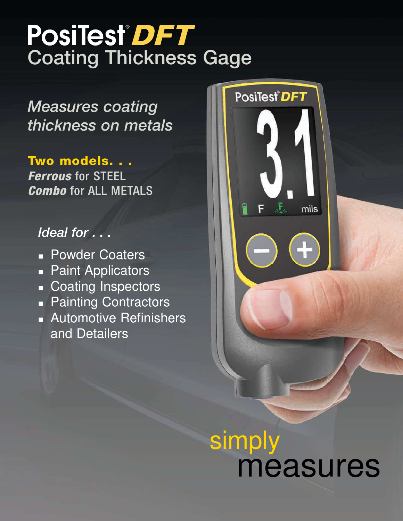## PosiTest<sup>®</sup>DFT Coating Thickness Gage

*Measures coating thickness on metals*

Two models. . . **Ferrous for STEEL Combo** for ALL METALS

### *Ideal for . . .*

- **Powder Coaters**
- **Paint Applicators**
- **Coating Inspectors**
- **Painting Contractors**
- **Automotive Refinishers** and Detailers



# simply measures